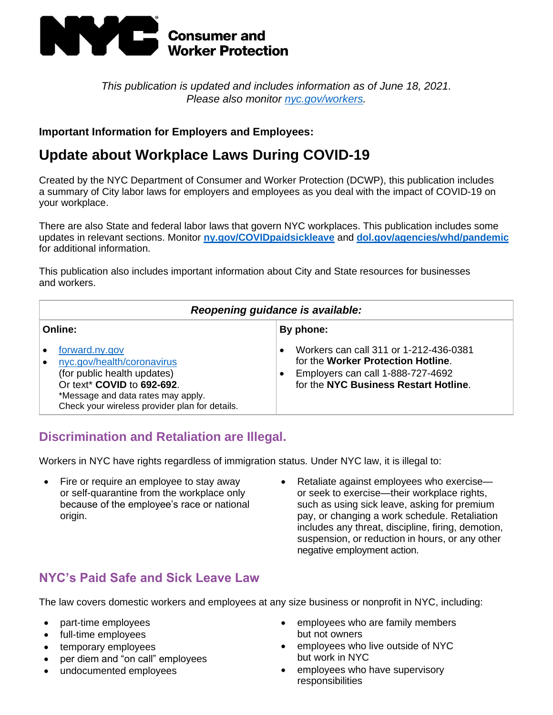

*This publication is updated and includes information as of June 18, 2021. Please also monitor [nyc.gov/workers.](http://www.nyc.gov/workers)*

### **Important Information for Employers and Employees:**

# **Update about Workplace Laws During COVID-19**

Created by the NYC Department of Consumer and Worker Protection (DCWP), this publication includes a summary of City labor laws for employers and employees as you deal with the impact of COVID-19 on your workplace.

There are also State and federal labor laws that govern NYC workplaces. This publication includes some updates in relevant sections. Monitor **[ny.gov/COVIDpaidsickleave](https://www.governor.ny.gov/programs/paid-sick-leave-covid-19-impacted-new-yorkers)** and **[dol.gov/agencies/whd/pandemic](https://www.dol.gov/agencies/whd/pandemic)** for additional information.

This publication also includes important information about City and State resources for businesses and workers.

| Reopening guidance is available:                                                                                                                                                                  |                                                                                                                                                            |  |  |
|---------------------------------------------------------------------------------------------------------------------------------------------------------------------------------------------------|------------------------------------------------------------------------------------------------------------------------------------------------------------|--|--|
| Online:                                                                                                                                                                                           | By phone:                                                                                                                                                  |  |  |
| forward.ny.gov<br>nyc.gov/health/coronavirus<br>(for public health updates)<br>Or text* COVID to 692-692.<br>*Message and data rates may apply.<br>Check your wireless provider plan for details. | Workers can call 311 or 1-212-436-0381<br>for the Worker Protection Hotline.<br>Employers can call 1-888-727-4692<br>for the NYC Business Restart Hotline. |  |  |

### **Discrimination and Retaliation are Illegal.**

Workers in NYC have rights regardless of immigration status. Under NYC law, it is illegal to:

- Fire or require an employee to stay away or self-quarantine from the workplace only because of the employee's race or national origin.
- Retaliate against employees who exercise or seek to exercise—their workplace rights, such as using sick leave, asking for premium pay, or changing a work schedule. Retaliation includes any threat, discipline, firing, demotion, suspension, or reduction in hours, or any other negative employment action.

## **NYC's Paid Safe and Sick Leave Law**

The law covers domestic workers and employees at any size business or nonprofit in NYC, including:

- part-time employees
- full-time employees
- temporary employees
- per diem and "on call" employees
- undocumented employees
- employees who are family members but not owners
- employees who live outside of NYC but work in NYC
- employees who have supervisory responsibilities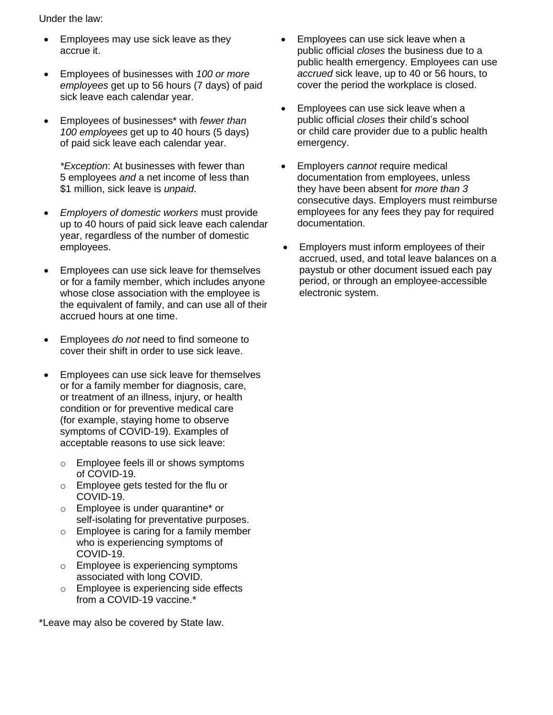Under the law:

- Employees may use sick leave as they accrue it.
- Employees of businesses with *100 or more employees* get up to 56 hours (7 days) of paid sick leave each calendar year.
- Employees of businesses\* with *fewer than 100 employees* get up to 40 hours (5 days) of paid sick leave each calendar year.

*\*Exception*: At businesses with fewer than 5 employees *and* a net income of less than \$1 million, sick leave is *unpaid*.

- *Employers of domestic workers* must provide up to 40 hours of paid sick leave each calendar year, regardless of the number of domestic employees.
- Employees can use sick leave for themselves or for a family member, which includes anyone whose close association with the employee is the equivalent of family, and can use all of their accrued hours at one time.
- Employees *do not* need to find someone to cover their shift in order to use sick leave.
- Employees can use sick leave for themselves or for a family member for diagnosis, care, or treatment of an illness, injury, or health condition or for preventive medical care (for example, staying home to observe symptoms of COVID-19). Examples of acceptable reasons to use sick leave:
	- o Employee feels ill or shows symptoms of COVID-19.
	- o Employee gets tested for the flu or COVID-19.
	- o Employee is under quarantine\* or self-isolating for preventative purposes.
	- o Employee is caring for a family member who is experiencing symptoms of COVID-19.
	- o Employee is experiencing symptoms associated with long COVID.
	- o Employee is experiencing side effects from a COVID-19 vaccine.\*

\*Leave may also be covered by State law.

- Employees can use sick leave when a public official *closes* the business due to a public health emergency. Employees can use *accrued* sick leave, up to 40 or 56 hours, to cover the period the workplace is closed.
- Employees can use sick leave when a public official *closes* their child's school or child care provider due to a public health emergency.
- Employers *cannot* require medical documentation from employees, unless they have been absent for *more than 3* consecutive days. Employers must reimburse employees for any fees they pay for required documentation.
- Employers must inform employees of their accrued, used, and total leave balances on a paystub or other document issued each pay period, or through an employee-accessible electronic system.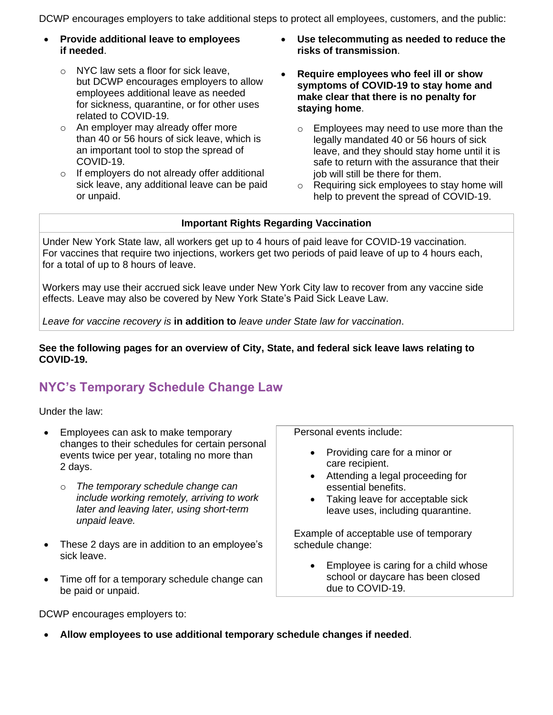DCWP encourages employers to take additional steps to protect all employees, customers, and the public:

- **Provide additional leave to employees if needed**.
	- o NYC law sets a floor for sick leave, but DCWP encourages employers to allow employees additional leave as needed for sickness, quarantine, or for other uses related to COVID-19.
	- o An employer may already offer more than 40 or 56 hours of sick leave, which is an important tool to stop the spread of COVID-19.
	- o If employers do not already offer additional sick leave, any additional leave can be paid or unpaid.
- **Use telecommuting as needed to reduce the risks of transmission**.
- **Require employees who feel ill or show symptoms of COVID-19 to stay home and make clear that there is no penalty for staying home**.
	- o Employees may need to use more than the legally mandated 40 or 56 hours of sick leave, and they should stay home until it is safe to return with the assurance that their job will still be there for them.
	- o Requiring sick employees to stay home will help to prevent the spread of COVID-19.

#### **Important Rights Regarding Vaccination**

Under New York State law, all workers get up to 4 hours of paid leave for COVID-19 vaccination. For vaccines that require two injections, workers get two periods of paid leave of up to 4 hours each, for a total of up to 8 hours of leave.

Workers may use their accrued sick leave under New York City law to recover from any vaccine side effects. Leave may also be covered by New York State's Paid Sick Leave Law.

*Leave for vaccine recovery is* **in addition to** *leave under State law for vaccination*.

#### **See the following pages for an overview of City, State, and federal sick leave laws relating to COVID-19.**

## **NYC's Temporary Schedule Change Law**

Under the law:

- Employees can ask to make temporary changes to their schedules for certain personal events twice per year, totaling no more than 2 days.
	- o *The temporary schedule change can include working remotely, arriving to work later and leaving later, using short-term unpaid leave.*
- These 2 days are in addition to an employee's sick leave.
- Time off for a temporary schedule change can be paid or unpaid.

care recipient.

Personal events include:

• Attending a legal proceeding for essential benefits.

• Providing care for a minor or

• Taking leave for acceptable sick leave uses, including quarantine.

Example of acceptable use of temporary schedule change:

• Employee is caring for a child whose school or daycare has been closed due to COVID-19.

DCWP encourages employers to:

• **Allow employees to use additional temporary schedule changes if needed**.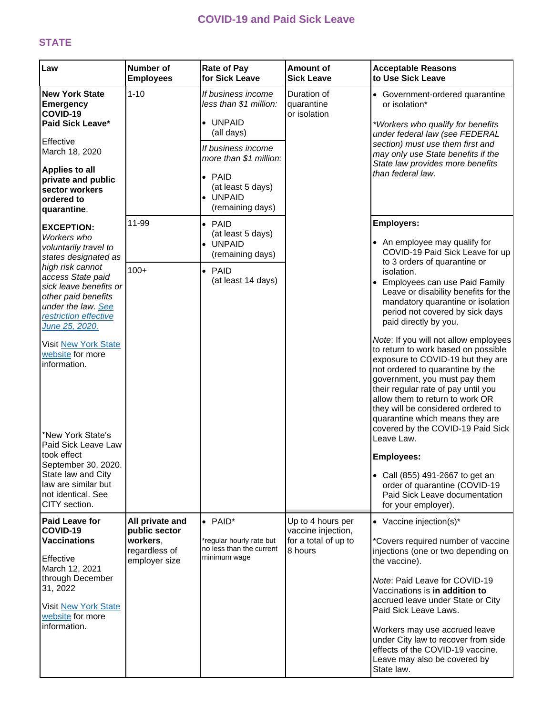### **COVID-19 and Paid Sick Leave**

### **STATE**

| Law                                                                                                                                                                                                                                                                                                                                                                                                                                                                  | <b>Number of</b><br><b>Employees</b>       | <b>Rate of Pay</b><br>for Sick Leave                                                                                                                                                          | <b>Amount of</b><br><b>Sick Leave</b>     | <b>Acceptable Reasons</b><br>to Use Sick Leave                                                                                                                                                                                                                                                                                                                                                                                                                                                                                                                                                                                                                                                                                                                                                                                            |
|----------------------------------------------------------------------------------------------------------------------------------------------------------------------------------------------------------------------------------------------------------------------------------------------------------------------------------------------------------------------------------------------------------------------------------------------------------------------|--------------------------------------------|-----------------------------------------------------------------------------------------------------------------------------------------------------------------------------------------------|-------------------------------------------|-------------------------------------------------------------------------------------------------------------------------------------------------------------------------------------------------------------------------------------------------------------------------------------------------------------------------------------------------------------------------------------------------------------------------------------------------------------------------------------------------------------------------------------------------------------------------------------------------------------------------------------------------------------------------------------------------------------------------------------------------------------------------------------------------------------------------------------------|
| <b>New York State</b><br><b>Emergency</b><br>COVID-19<br>Paid Sick Leave*<br>Effective<br>March 18, 2020<br><b>Applies to all</b><br>private and public<br>sector workers<br>ordered to<br>quarantine.                                                                                                                                                                                                                                                               | $1 - 10$                                   | If business income<br>less than \$1 million:<br>• UNPAID<br>(all days)<br>If business income<br>more than \$1 million:<br>$\bullet$ PAID<br>(at least 5 days)<br>• UNPAID<br>(remaining days) | Duration of<br>quarantine<br>or isolation | • Government-ordered quarantine<br>or isolation*<br>*Workers who qualify for benefits<br>under federal law (see FEDERAL<br>section) must use them first and<br>may only use State benefits if the<br>State law provides more benefits<br>than federal law.                                                                                                                                                                                                                                                                                                                                                                                                                                                                                                                                                                                |
| <b>EXCEPTION:</b><br>Workers who<br>voluntarily travel to<br>states designated as<br>high risk cannot<br>access State paid<br>sick leave benefits or<br>other paid benefits<br>under the law. See<br>restriction effective<br>June 25, 2020.<br><b>Visit New York State</b><br>website for more<br>information.<br>*New York State's<br>Paid Sick Leave Law<br>took effect<br>September 30, 2020.<br>State law and City<br>law are similar but<br>not identical. See | 11-99<br>$100+$                            | $\bullet$ PAID<br>(at least 5 days)<br>• UNPAID<br>(remaining days)<br>$\bullet$ PAID<br>(at least 14 days)                                                                                   |                                           | <b>Employers:</b><br>• An employee may qualify for<br>COVID-19 Paid Sick Leave for up<br>to 3 orders of quarantine or<br>isolation.<br>• Employees can use Paid Family<br>Leave or disability benefits for the<br>mandatory quarantine or isolation<br>period not covered by sick days<br>paid directly by you.<br>Note: If you will not allow employees<br>to return to work based on possible<br>exposure to COVID-19 but they are<br>not ordered to quarantine by the<br>government, you must pay them<br>their regular rate of pay until you<br>allow them to return to work OR<br>they will be considered ordered to<br>quarantine which means they are<br>covered by the COVID-19 Paid Sick<br>Leave Law.<br><b>Employees:</b><br>• Call (855) 491-2667 to get an<br>order of quarantine (COVID-19<br>Paid Sick Leave documentation |
| CITY section.<br><b>Paid Leave for</b><br>COVID-19                                                                                                                                                                                                                                                                                                                                                                                                                   | All private and<br>public sector           | $\bullet$ PAID*                                                                                                                                                                               | Up to 4 hours per<br>vaccine injection,   | for your employer).<br>• Vaccine injection(s)*                                                                                                                                                                                                                                                                                                                                                                                                                                                                                                                                                                                                                                                                                                                                                                                            |
| <b>Vaccinations</b><br>Effective<br>March 12, 2021<br>through December<br>31, 2022<br>Visit New York State<br>website for more<br>information.                                                                                                                                                                                                                                                                                                                       | workers,<br>regardless of<br>employer size | *regular hourly rate but<br>no less than the current<br>minimum waqe                                                                                                                          | for a total of up to<br>8 hours           | *Covers required number of vaccine<br>injections (one or two depending on<br>the vaccine).<br>Note: Paid Leave for COVID-19<br>Vaccinations is in addition to<br>accrued leave under State or City<br>Paid Sick Leave Laws.<br>Workers may use accrued leave<br>under City law to recover from side<br>effects of the COVID-19 vaccine.<br>Leave may also be covered by<br>State law.                                                                                                                                                                                                                                                                                                                                                                                                                                                     |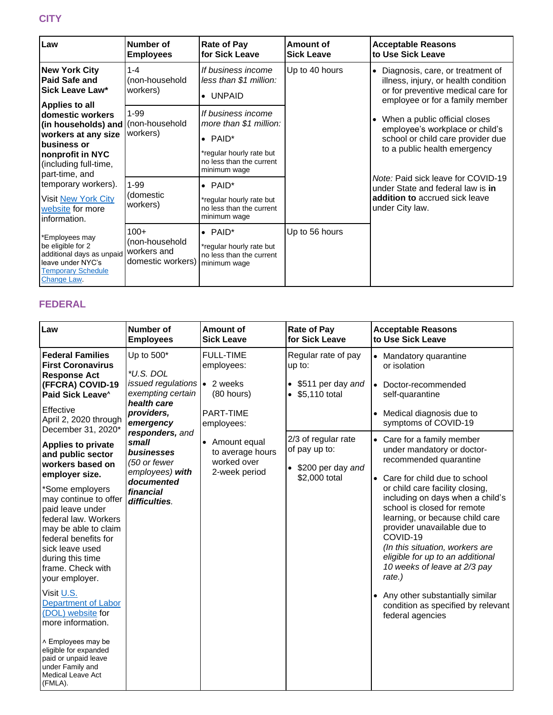| Law                                                                                                                                                                           | Number of<br><b>Employees</b>                                | <b>Rate of Pay</b><br>for Sick Leave                                                                                                    | Amount of<br><b>Sick Leave</b> | <b>Acceptable Reasons</b><br>to Use Sick Leave                                                                                                      |
|-------------------------------------------------------------------------------------------------------------------------------------------------------------------------------|--------------------------------------------------------------|-----------------------------------------------------------------------------------------------------------------------------------------|--------------------------------|-----------------------------------------------------------------------------------------------------------------------------------------------------|
| <b>New York City</b><br><b>Paid Safe and</b><br><b>Sick Leave Law*</b>                                                                                                        | $1 - 4$<br>(non-household<br>workers)                        | If business income<br>less than \$1 million:<br>$\bullet$ UNPAID                                                                        | Up to 40 hours                 | • Diagnosis, care, or treatment of<br>illness, injury, or health condition<br>or for preventive medical care for<br>employee or for a family member |
| Applies to all<br>domestic workers<br>(in households) and (non-household<br>workers at any size<br>business or<br>nonprofit in NYC<br>(including full-time,<br>part-time, and | $1 - 99$<br>workers)                                         | If business income<br>more than \$1 million:<br>$\bullet$ PAID*<br>*regular hourly rate but<br>no less than the current<br>minimum wage |                                | • When a public official closes<br>employee's workplace or child's<br>school or child care provider due<br>to a public health emergency             |
| temporary workers).<br>Visit New York City<br>website for more<br>information.                                                                                                | $1 - 99$<br>(domestic<br>workers)                            | $\bullet$ PAID*<br>*regular hourly rate but<br>no less than the current<br>minimum wage                                                 |                                | <i>Note:</i> Paid sick leave for COVID-19<br>under State and federal law is in<br>addition to accrued sick leave<br>under City law.                 |
| *Employees may<br>be eligible for 2<br>additional days as unpaid<br>leave under NYC's<br><b>Temporary Schedule</b><br>Change Law.                                             | $100+$<br>(non-household<br>workers and<br>domestic workers) | $\bullet$ PAID*<br>*regular hourly rate but<br>no less than the current<br>minimum wage                                                 | Up to 56 hours                 |                                                                                                                                                     |

### **FEDERAL**

| Law                                                                                                                                                                                                                                                                                                                                                                                                                                             | <b>Number of</b><br><b>Employees</b>                                                                                                                                                                                                                    | Amount of<br><b>Sick Leave</b>                                                 | <b>Rate of Pay</b><br>for Sick Leave                                                    | <b>Acceptable Reasons</b><br>to Use Sick Leave                                                                                                                                                                                                                                                                                                                                                                                                                                                                         |
|-------------------------------------------------------------------------------------------------------------------------------------------------------------------------------------------------------------------------------------------------------------------------------------------------------------------------------------------------------------------------------------------------------------------------------------------------|---------------------------------------------------------------------------------------------------------------------------------------------------------------------------------------------------------------------------------------------------------|--------------------------------------------------------------------------------|-----------------------------------------------------------------------------------------|------------------------------------------------------------------------------------------------------------------------------------------------------------------------------------------------------------------------------------------------------------------------------------------------------------------------------------------------------------------------------------------------------------------------------------------------------------------------------------------------------------------------|
| <b>Federal Families</b><br><b>First Coronavirus</b><br><b>Response Act</b><br>(FFCRA) COVID-19<br>Paid Sick Leave <sup>^</sup><br>Effective<br>April 2, 2020 through<br>December 31, 2020*                                                                                                                                                                                                                                                      | Up to 500*<br>*U.S. DOL<br>issued regulations $\bullet$ 2 weeks<br>exempting certain<br>health care<br>providers,<br>emergency<br>responders, and<br>small<br>businesses<br>(50 or fewer<br>employees) with<br>documented<br>financial<br>difficulties. | <b>FULL-TIME</b><br>employees:<br>(80 hours)<br><b>PART-TIME</b><br>employees: | Regular rate of pay<br>up to:<br>\$511 per day and<br>$\bullet$<br>\$5,110 total        | • Mandatory quarantine<br>or isolation<br>• Doctor-recommended<br>self-quarantine<br>Medical diagnosis due to<br>$\bullet$<br>symptoms of COVID-19                                                                                                                                                                                                                                                                                                                                                                     |
| <b>Applies to private</b><br>and public sector<br>workers based on<br>employer size.<br>*Some employers<br>may continue to offer<br>paid leave under<br>federal law. Workers<br>may be able to claim<br>federal benefits for<br>sick leave used<br>during this time<br>frame. Check with<br>your employer.<br>Visit U.S.<br><b>Department of Labor</b><br>(DOL) website for<br>more information.<br>^ Employees may be<br>eligible for expanded |                                                                                                                                                                                                                                                         | • Amount equal<br>to average hours<br>worked over<br>2-week period             | 2/3 of regular rate<br>of pay up to:<br>\$200 per day and<br>$\bullet$<br>\$2,000 total | • Care for a family member<br>under mandatory or doctor-<br>recommended quarantine<br>Care for child due to school<br>or child care facility closing,<br>including on days when a child's<br>school is closed for remote<br>learning, or because child care<br>provider unavailable due to<br>COVID-19<br>(In this situation, workers are<br>eligible for up to an additional<br>10 weeks of leave at 2/3 pay<br>rate.)<br>• Any other substantially similar<br>condition as specified by relevant<br>federal agencies |
| paid or unpaid leave<br>under Family and<br><b>Medical Leave Act</b><br>(FMLA).                                                                                                                                                                                                                                                                                                                                                                 |                                                                                                                                                                                                                                                         |                                                                                |                                                                                         |                                                                                                                                                                                                                                                                                                                                                                                                                                                                                                                        |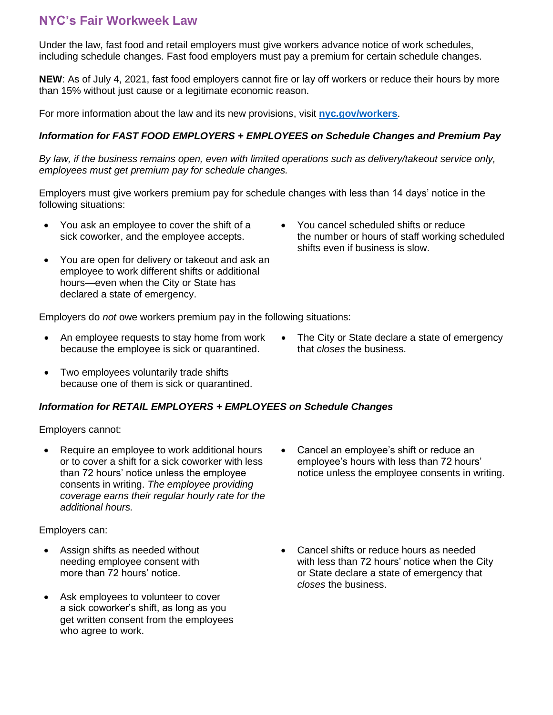### **NYC's Fair Workweek Law**

Under the law, fast food and retail employers must give workers advance notice of work schedules, including schedule changes. Fast food employers must pay a premium for certain schedule changes.

**NEW**: As of July 4, 2021, fast food employers cannot fire or lay off workers or reduce their hours by more than 15% without just cause or a legitimate economic reason.

For more information about the law and its new provisions, visit **[nyc.gov/workers](https://www1.nyc.gov/site/dca/workers/worker-rights.page)**.

#### *Information for FAST FOOD EMPLOYERS + EMPLOYEES on Schedule Changes and Premium Pay*

*By law, if the business remains open, even with limited operations such as delivery/takeout service only, employees must get premium pay for schedule changes.*

Employers must give workers premium pay for schedule changes with less than 14 days' notice in the following situations:

- You ask an employee to cover the shift of a sick coworker, and the employee accepts.
- You cancel scheduled shifts or reduce the number or hours of staff working scheduled shifts even if business is slow.
- You are open for delivery or takeout and ask an employee to work different shifts or additional hours—even when the City or State has declared a state of emergency.

Employers do *not* owe workers premium pay in the following situations:

- An employee requests to stay home from work because the employee is sick or quarantined.
- Two employees voluntarily trade shifts because one of them is sick or quarantined.

#### *Information for RETAIL EMPLOYERS + EMPLOYEES on Schedule Changes*

Employers cannot:

• Require an employee to work additional hours or to cover a shift for a sick coworker with less than 72 hours' notice unless the employee consents in writing. *The employee providing coverage earns their regular hourly rate for the additional hours.*

Employers can:

- Assign shifts as needed without needing employee consent with more than 72 hours' notice.
- Ask employees to volunteer to cover a sick coworker's shift, as long as you get written consent from the employees who agree to work.
- Cancel an employee's shift or reduce an employee's hours with less than 72 hours' notice unless the employee consents in writing.
- Cancel shifts or reduce hours as needed with less than 72 hours' notice when the City or State declare a state of emergency that *closes* the business.

• The City or State declare a state of emergency that *closes* the business.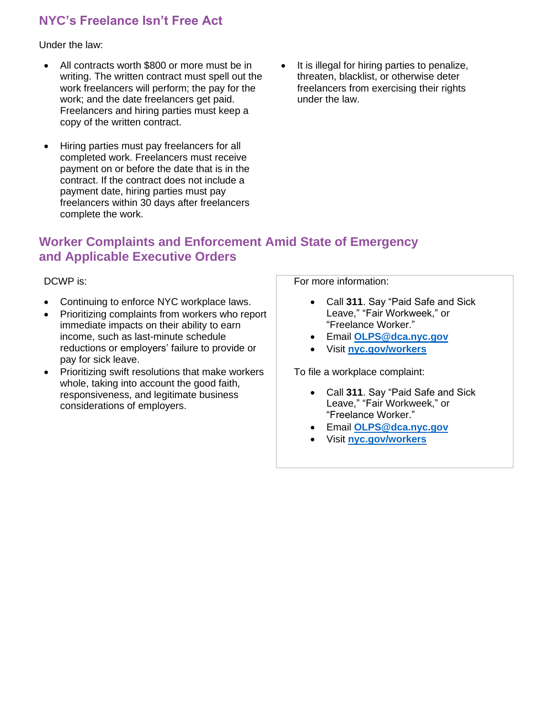## **NYC's Freelance Isn't Free Act**

Under the law:

- All contracts worth \$800 or more must be in writing. The written contract must spell out the work freelancers will perform; the pay for the work; and the date freelancers get paid. Freelancers and hiring parties must keep a copy of the written contract.
- Hiring parties must pay freelancers for all completed work. Freelancers must receive payment on or before the date that is in the contract. If the contract does not include a payment date, hiring parties must pay freelancers within 30 days after freelancers complete the work.
- It is illegal for hiring parties to penalize, threaten, blacklist, or otherwise deter freelancers from exercising their rights under the law.

## **Worker Complaints and Enforcement Amid State of Emergency and Applicable Executive Orders**

DCWP is:

- Continuing to enforce NYC workplace laws.
- Prioritizing complaints from workers who report immediate impacts on their ability to earn income, such as last-minute schedule reductions or employers' failure to provide or pay for sick leave.
- Prioritizing swift resolutions that make workers whole, taking into account the good faith, responsiveness, and legitimate business considerations of employers.

For more information:

- Call **311**. Say "Paid Safe and Sick Leave," "Fair Workweek," or "Freelance Worker."
- Email **[OLPS@dca.nyc.gov](mailto:OLPS@dca.nyc.gov)**
- Visit **[nyc.gov/workers](https://www1.nyc.gov/site/dca/workers/worker-rights.page)**

To file a workplace complaint:

- Call **311**. Say "Paid Safe and Sick Leave," "Fair Workweek," or "Freelance Worker."
- Email **[OLPS@dca.nyc.gov](mailto:OLPS@dca.nyc.gov)**
- Visit **[nyc.gov/workers](https://www1.nyc.gov/site/dca/workers/worker-rights.page)**